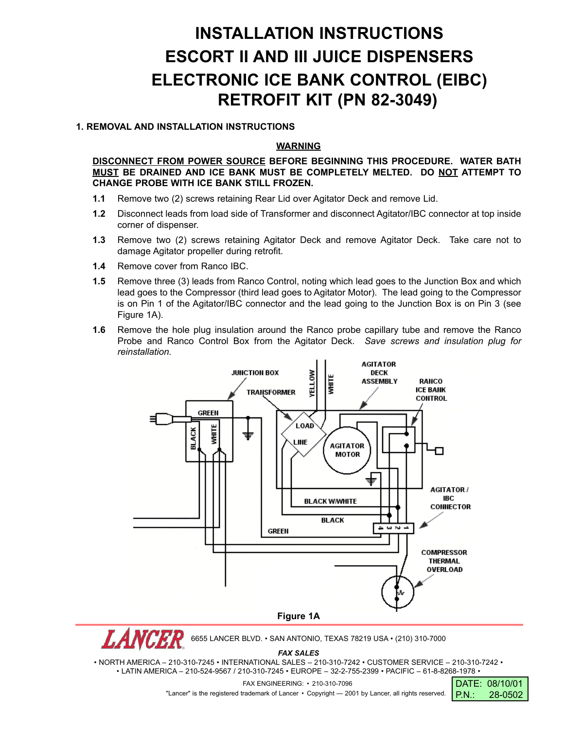# **INSTALLATION INSTRUCTIONS ESCORT II AND III JUICE DISPENSERS ELECTRONIC ICE BANK CONTROL (EIBC) RETROFIT KIT (PN 82-3049)**

## **1. REMOVAL AND INSTALLATION INSTRUCTIONS**

### **WARNING**

**DISCONNECT FROM POWER SOURCE BEFORE BEGINNING THIS PROCEDURE. WATER BATH MUST BE DRAINED AND ICE BANK MUST BE COMPLETELY MELTED. DO NOT ATTEMPT TO CHANGE PROBE WITH ICE BANK STILL FROZEN.**

- **1.1** Remove two (2) screws retaining Rear Lid over Agitator Deck and remove Lid.
- **1.2** Disconnect leads from load side of Transformer and disconnect Agitator/IBC connector at top inside corner of dispenser.
- **1.3** Remove two (2) screws retaining Agitator Deck and remove Agitator Deck. Take care not to damage Agitator propeller during retrofit.
- **1.4** Remove cover from Ranco IBC.
- **1.5** Remove three (3) leads from Ranco Control, noting which lead goes to the Junction Box and which lead goes to the Compressor (third lead goes to Agitator Motor). The lead going to the Compressor is on Pin 1 of the Agitator/IBC connector and the lead going to the Junction Box is on Pin 3 (see Figure 1A).
- **1.6** Remove the hole plug insulation around the Ranco probe capillary tube and remove the Ranco Probe and Ranco Control Box from the Agitator Deck. *Save screws and insulation plug for reinstallation.*



6655 LANCER BLVD. • SAN ANTONIO, TEXAS 78219 USA • (210) 310-7000

*FAX SALES*

• NORTH AMERICA – 210-310-7245 • INTERNATIONAL SALES – 210-310-7242 • CUSTOMER SERVICE – 210-310-7242 • • LATIN AMERICA – 210-524-9567 / 210-310-7245 • EUROPE – 32-2-755-2399 • PACIFIC – 61-8-8268-1978 •

| FAX ENGINEERING: • 210-310-7096                                                                                               | DATE: 08/10/01 |  |
|-------------------------------------------------------------------------------------------------------------------------------|----------------|--|
| "Lancer" is the registered trademark of Lancer • Copyright $-$ 2001 by Lancer, all rights reserved. $\overline{PR}$ : 28-0502 |                |  |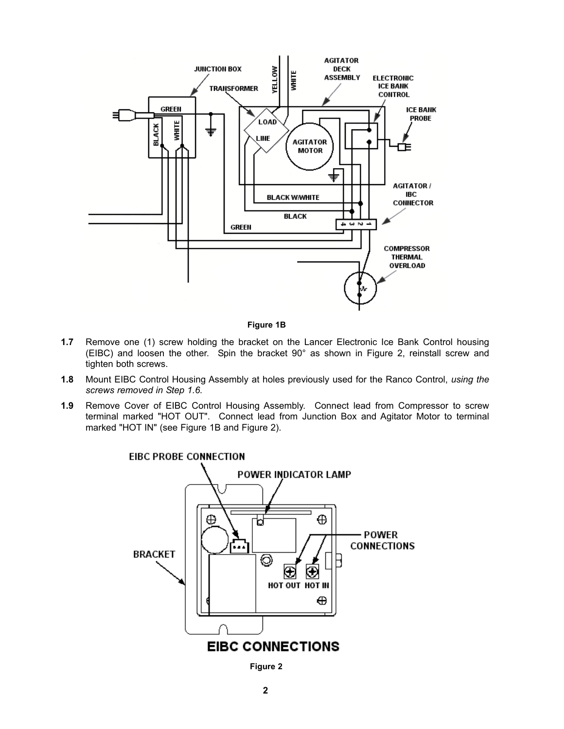

**Figure 1B**

- **1.7** Remove one (1) screw holding the bracket on the Lancer Electronic Ice Bank Control housing (EIBC) and loosen the other. Spin the bracket 90° as shown in Figure 2, reinstall screw and tighten both screws.
- **1.8** Mount EIBC Control Housing Assembly at holes previously used for the Ranco Control, *using the screws removed in Step 1.6.*
- **1.9** Remove Cover of EIBC Control Housing Assembly. Connect lead from Compressor to screw terminal marked "HOT OUT". Connect lead from Junction Box and Agitator Motor to terminal marked "HOT IN" (see Figure 1B and Figure 2).



**Figure 2**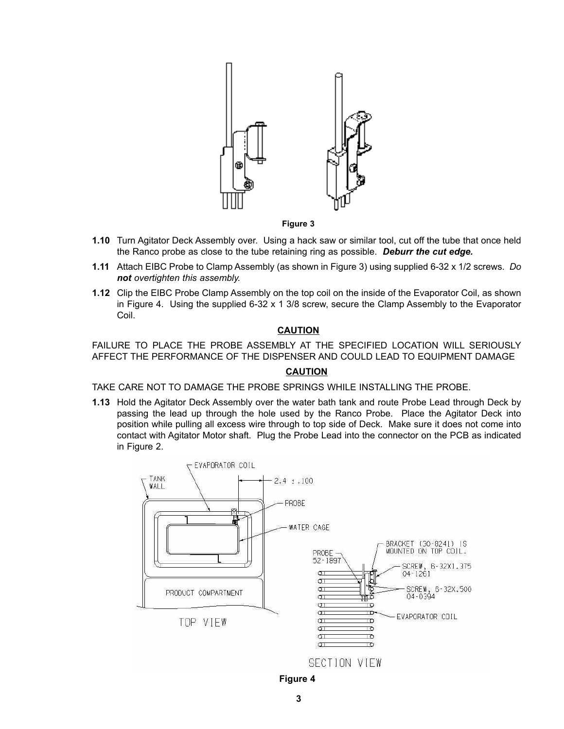

**Figure 3**

- **1.10** Turn Agitator Deck Assembly over. Using a hack saw or similar tool, cut off the tube that once held the Ranco probe as close to the tube retaining ring as possible. *Deburr the cut edge.*
- **1.11** Attach EIBC Probe to Clamp Assembly (as shown in Figure 3) using supplied 6-32 x 1/2 screws. *Do not overtighten this assembly.*
- **1.12** Clip the EIBC Probe Clamp Assembly on the top coil on the inside of the Evaporator Coil, as shown in Figure 4. Using the supplied 6-32 x 1 3/8 screw, secure the Clamp Assembly to the Evaporator Coil.

#### **CAUTION**

FAILURE TO PLACE THE PROBE ASSEMBLY AT THE SPECIFIED LOCATION WILL SERIOUSLY AFFECT THE PERFORMANCE OF THE DISPENSER AND COULD LEAD TO EQUIPMENT DAMAGE

#### **CAUTION**

TAKE CARE NOT TO DAMAGE THE PROBE SPRINGS WHILE INSTALLING THE PROBE.

**1.13** Hold the Agitator Deck Assembly over the water bath tank and route Probe Lead through Deck by passing the lead up through the hole used by the Ranco Probe. Place the Agitator Deck into position while pulling all excess wire through to top side of Deck. Make sure it does not come into contact with Agitator Motor shaft. Plug the Probe Lead into the connector on the PCB as indicated in Figure 2.



**Figure 4**